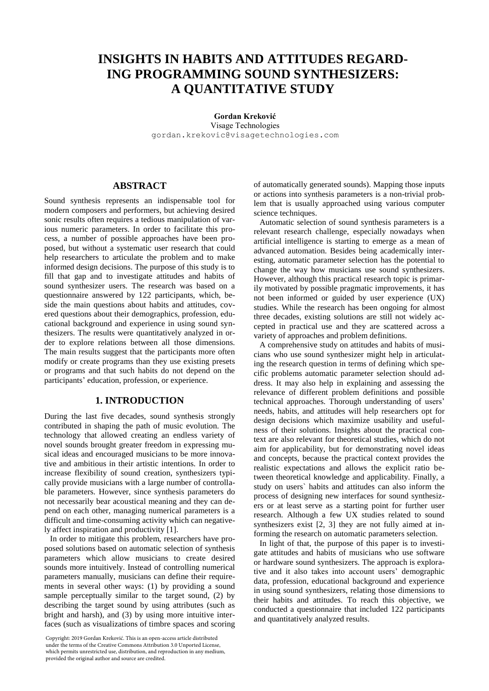# **INSIGHTS IN HABITS AND ATTITUDES REGARD-ING PROGRAMMING SOUND SYNTHESIZERS: A QUANTITATIVE STUDY**

**Gordan Kreković** Visage Technologies gordan.krekovic@visagetechnologies.com

# **ABSTRACT**

Sound synthesis represents an indispensable tool for modern composers and performers, but achieving desired sonic results often requires a tedious manipulation of various numeric parameters. In order to facilitate this process, a number of possible approaches have been proposed, but without a systematic user research that could help researchers to articulate the problem and to make informed design decisions. The purpose of this study is to fill that gap and to investigate attitudes and habits of sound synthesizer users. The research was based on a questionnaire answered by 122 participants, which, beside the main questions about habits and attitudes, covered questions about their demographics, profession, educational background and experience in using sound synthesizers. The results were quantitatively analyzed in order to explore relations between all those dimensions. The main results suggest that the participants more often modify or create programs than they use existing presets or programs and that such habits do not depend on the participants' education, profession, or experience.

# **1. INTRODUCTION**

During the last five decades, sound synthesis strongly contributed in shaping the path of music evolution. The technology that allowed creating an endless variety of novel sounds brought greater freedom in expressing musical ideas and encouraged musicians to be more innovative and ambitious in their artistic intentions. In order to increase flexibility of sound creation, synthesizers typically provide musicians with a large number of controllable parameters. However, since synthesis parameters do not necessarily bear acoustical meaning and they can depend on each other, managing numerical parameters is a difficult and time-consuming activity which can negatively affect inspiration and productivity [1].

In order to mitigate this problem, researchers have proposed solutions based on automatic selection of synthesis parameters which allow musicians to create desired sounds more intuitively. Instead of controlling numerical parameters manually, musicians can define their requirements in several other ways: (1) by providing a sound sample perceptually similar to the target sound, (2) by describing the target sound by using attributes (such as bright and harsh), and (3) by using more intuitive interfaces (such as visualizations of timbre spaces and scoring

Copyright: 2019 Gordan Kreković. This is an open-access article distributed under the terms of the Creative Commons Attribution 3.0 Unported License, which permits unrestricted use, distribution, and reproduction in any medium, provided the original author and source are credited.

of automatically generated sounds). Mapping those inputs or actions into synthesis parameters is a non-trivial problem that is usually approached using various computer science techniques.

Automatic selection of sound synthesis parameters is a relevant research challenge, especially nowadays when artificial intelligence is starting to emerge as a mean of advanced automation. Besides being academically interesting, automatic parameter selection has the potential to change the way how musicians use sound synthesizers. However, although this practical research topic is primarily motivated by possible pragmatic improvements, it has not been informed or guided by user experience (UX) studies. While the research has been ongoing for almost three decades, existing solutions are still not widely accepted in practical use and they are scattered across a variety of approaches and problem definitions.

A comprehensive study on attitudes and habits of musicians who use sound synthesizer might help in articulating the research question in terms of defining which specific problems automatic parameter selection should address. It may also help in explaining and assessing the relevance of different problem definitions and possible technical approaches. Thorough understanding of users' needs, habits, and attitudes will help researchers opt for design decisions which maximize usability and usefulness of their solutions. Insights about the practical context are also relevant for theoretical studies, which do not aim for applicability, but for demonstrating novel ideas and concepts, because the practical context provides the realistic expectations and allows the explicit ratio between theoretical knowledge and applicability. Finally, a study on users` habits and attitudes can also inform the process of designing new interfaces for sound synthesizers or at least serve as a starting point for further user research. Although a few UX studies related to sound synthesizers exist [2, 3] they are not fully aimed at informing the research on automatic parameters selection.

In light of that, the purpose of this paper is to investigate attitudes and habits of musicians who use software or hardware sound synthesizers. The approach is explorative and it also takes into account users' demographic data, profession, educational background and experience in using sound synthesizers, relating those dimensions to their habits and attitudes. To reach this objective, we conducted a questionnaire that included 122 participants and quantitatively analyzed results.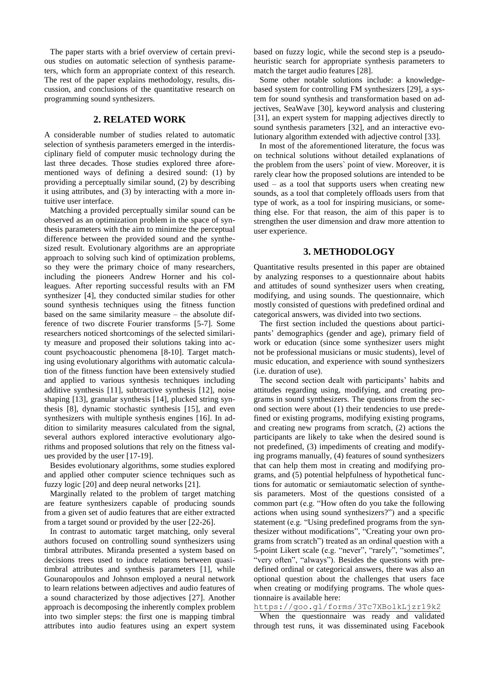The paper starts with a brief overview of certain previous studies on automatic selection of synthesis parameters, which form an appropriate context of this research. The rest of the paper explains methodology, results, discussion, and conclusions of the quantitative research on programming sound synthesizers.

## **2. RELATED WORK**

A considerable number of studies related to automatic selection of synthesis parameters emerged in the interdisciplinary field of computer music technology during the last three decades. Those studies explored three aforementioned ways of defining a desired sound: (1) by providing a perceptually similar sound, (2) by describing it using attributes, and (3) by interacting with a more intuitive user interface.

Matching a provided perceptually similar sound can be observed as an optimization problem in the space of synthesis parameters with the aim to minimize the perceptual difference between the provided sound and the synthesized result. Evolutionary algorithms are an appropriate approach to solving such kind of optimization problems, so they were the primary choice of many researchers, including the pioneers Andrew Horner and his colleagues. After reporting successful results with an FM synthesizer [4], they conducted similar studies for other sound synthesis techniques using the fitness function based on the same similarity measure – the absolute difference of two discrete Fourier transforms [5-7]. Some researchers noticed shortcomings of the selected similarity measure and proposed their solutions taking into account psychoacoustic phenomena [8-10]. Target matching using evolutionary algorithms with automatic calculation of the fitness function have been extensively studied and applied to various synthesis techniques including additive synthesis [11], subtractive synthesis [12], noise shaping [13], granular synthesis [14], plucked string synthesis [8], dynamic stochastic synthesis [15], and even synthesizers with multiple synthesis engines [16]. In addition to similarity measures calculated from the signal, several authors explored interactive evolutionary algorithms and proposed solutions that rely on the fitness values provided by the user [17-19].

Besides evolutionary algorithms, some studies explored and applied other computer science techniques such as fuzzy logic [20] and deep neural networks [21].

Marginally related to the problem of target matching are feature synthesizers capable of producing sounds from a given set of audio features that are either extracted from a target sound or provided by the user [22-26].

In contrast to automatic target matching, only several authors focused on controlling sound synthesizers using timbral attributes. Miranda presented a system based on decisions trees used to induce relations between quasitimbral attributes and synthesis parameters [1], while Gounaropoulos and Johnson employed a neural network to learn relations between adjectives and audio features of a sound characterized by those adjectives [27]. Another approach is decomposing the inherently complex problem into two simpler steps: the first one is mapping timbral attributes into audio features using an expert system based on fuzzy logic, while the second step is a pseudoheuristic search for appropriate synthesis parameters to match the target audio features [28].

Some other notable solutions include: a knowledgebased system for controlling FM synthesizers [29], a system for sound synthesis and transformation based on adjectives, SeaWave [30], keyword analysis and clustering [31], an expert system for mapping adjectives directly to sound synthesis parameters [32], and an interactive evolutionary algorithm extended with adjective control [33].

In most of the aforementioned literature, the focus was on technical solutions without detailed explanations of the problem from the users` point of view. Moreover, it is rarely clear how the proposed solutions are intended to be used – as a tool that supports users when creating new sounds, as a tool that completely offloads users from that type of work, as a tool for inspiring musicians, or something else. For that reason, the aim of this paper is to strengthen the user dimension and draw more attention to user experience.

## **3. METHODOLOGY**

Quantitative results presented in this paper are obtained by analyzing responses to a questionnaire about habits and attitudes of sound synthesizer users when creating, modifying, and using sounds. The questionnaire, which mostly consisted of questions with predefined ordinal and categorical answers, was divided into two sections.

The first section included the questions about participants' demographics (gender and age), primary field of work or education (since some synthesizer users might not be professional musicians or music students), level of music education, and experience with sound synthesizers (i.e. duration of use).

The second section dealt with participants' habits and attitudes regarding using, modifying, and creating programs in sound synthesizers. The questions from the second section were about (1) their tendencies to use predefined or existing programs, modifying existing programs, and creating new programs from scratch, (2) actions the participants are likely to take when the desired sound is not predefined, (3) impediments of creating and modifying programs manually, (4) features of sound synthesizers that can help them most in creating and modifying programs, and (5) potential helpfulness of hypothetical functions for automatic or semiautomatic selection of synthesis parameters. Most of the questions consisted of a common part (e.g. "How often do you take the following actions when using sound synthesizers?") and a specific statement (e.g. "Using predefined programs from the synthesizer without modifications", "Creating your own programs from scratch") treated as an ordinal question with a 5-point Likert scale (e.g. "never", "rarely", "sometimes", "very often", "always"). Besides the questions with predefined ordinal or categorical answers, there was also an optional question about the challenges that users face when creating or modifying programs. The whole questionnaire is available here:

https://goo.gl/forms/3Tc7XBolkLjzr19k2

When the questionnaire was ready and validated through test runs, it was disseminated using Facebook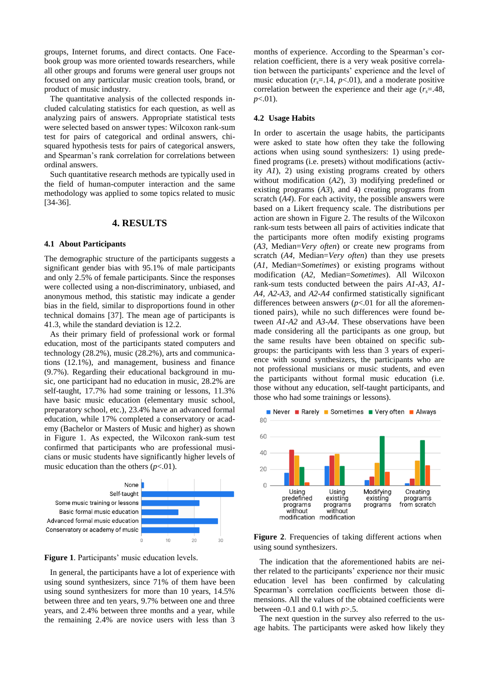groups, Internet forums, and direct contacts. One Facebook group was more oriented towards researchers, while all other groups and forums were general user groups not focused on any particular music creation tools, brand, or product of music industry.

The quantitative analysis of the collected responds included calculating statistics for each question, as well as analyzing pairs of answers. Appropriate statistical tests were selected based on answer types: Wilcoxon rank-sum test for pairs of categorical and ordinal answers, chisquared hypothesis tests for pairs of categorical answers, and Spearman's rank correlation for correlations between ordinal answers.

Such quantitative research methods are typically used in the field of human-computer interaction and the same methodology was applied to some topics related to music [34-36].

# **4. RESULTS**

#### **4.1 About Participants**

The demographic structure of the participants suggests a significant gender bias with 95.1% of male participants and only 2.5% of female participants. Since the responses were collected using a non-discriminatory, unbiased, and anonymous method, this statistic may indicate a gender bias in the field, similar to disproportions found in other technical domains [37]. The mean age of participants is 41.3, while the standard deviation is 12.2.

As their primary field of professional work or formal education, most of the participants stated computers and technology (28.2%), music (28.2%), arts and communications (12.1%), and management, business and finance (9.7%). Regarding their educational background in music, one participant had no education in music, 28.2% are self-taught, 17.7% had some training or lessons, 11.3% have basic music education (elementary music school, preparatory school, etc.), 23.4% have an advanced formal education, while 17% completed a conservatory or academy (Bachelor or Masters of Music and higher) as shown in Figure 1. As expected, the Wilcoxon rank-sum test confirmed that participants who are professional musicians or music students have significantly higher levels of music education than the others  $(p<.01)$ .



**Figure 1**. Participants' music education levels.

In general, the participants have a lot of experience with using sound synthesizers, since 71% of them have been using sound synthesizers for more than 10 years, 14.5% between three and ten years, 9.7% between one and three years, and 2.4% between three months and a year, while the remaining 2.4% are novice users with less than 3 months of experience. According to the Spearman's correlation coefficient, there is a very weak positive correlation between the participants' experience and the level of music education  $(r<sub>s</sub>=.14, p<.01)$ , and a moderate positive correlation between the experience and their age  $(r<sub>s</sub>=.48$ , *p*<.01).

#### **4.2 Usage Habits**

In order to ascertain the usage habits, the participants were asked to state how often they take the following actions when using sound synthesizers: 1) using predefined programs (i.e. presets) without modifications (activity *A1*), 2) using existing programs created by others without modification (*A2*), 3) modifying predefined or existing programs (*A3*), and 4) creating programs from scratch (*A4*). For each activity, the possible answers were based on a Likert frequency scale. The distributions per action are shown in Figure 2. The results of the Wilcoxon rank-sum tests between all pairs of activities indicate that the participants more often modify existing programs (*A3*, Median=*Very often*) or create new programs from scratch (*A4*, Median=*Very often*) than they use presets (*A1*, Median=*Sometimes*) or existing programs without modification (*A2*, Median=*Sometimes*). All Wilcoxon rank-sum tests conducted between the pairs *A1*-*A3*, *A1*- *A4*, *A2*-*A3*, and *A2*-*A4* confirmed statistically significant differences between answers  $(p<0.01$  for all the aforementioned pairs), while no such differences were found between *A1*-*A2* and *A3*-*A4*. These observations have been made considering all the participants as one group, but the same results have been obtained on specific subgroups: the participants with less than 3 years of experience with sound synthesizers, the participants who are not professional musicians or music students, and even the participants without formal music education (i.e. those without any education, self-taught participants, and those who had some trainings or lessons).



Figure 2. Frequencies of taking different actions when using sound synthesizers.

The indication that the aforementioned habits are neither related to the participants' experience nor their music education level has been confirmed by calculating Spearman's correlation coefficients between those dimensions. All the values of the obtained coefficients were between -0.1 and 0.1 with *p*>.5.

The next question in the survey also referred to the usage habits. The participants were asked how likely they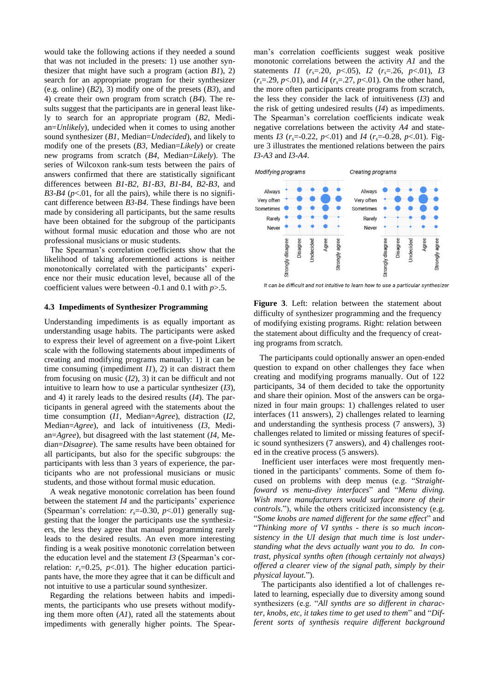would take the following actions if they needed a sound that was not included in the presets: 1) use another synthesizer that might have such a program (action *B1*), 2) search for an appropriate program for their synthesizer (e.g. online) (*B2*), 3) modify one of the presets (*B3*), and 4) create their own program from scratch (*B4*). The results suggest that the participants are in general least likely to search for an appropriate program (*B2*, Median=*Unlikely*), undecided when it comes to using another sound synthesizer (*B1*, Median=*Undecided*), and likely to modify one of the presets (*B3*, Median=*Likely*) or create new programs from scratch (*B4*, Median=*Likely*). The series of Wilcoxon rank-sum tests between the pairs of answers confirmed that there are statistically significant differences between *B1*-*B2*, *B1*-*B3*, *B1*-*B4*, *B2*-*B3*, and *B3-B4* ( $p$ <.01, for all the pairs), while there is no significant difference between *B3*-*B4*. These findings have been made by considering all participants, but the same results have been obtained for the subgroup of the participants without formal music education and those who are not professional musicians or music students.

The Spearman's correlation coefficients show that the likelihood of taking aforementioned actions is neither monotonically correlated with the participants' experience nor their music education level, because all of the coefficient values were between -0.1 and 0.1 with *p*>.5.

#### **4.3 Impediments of Synthesizer Programming**

Understanding impediments is as equally important as understanding usage habits. The participants were asked to express their level of agreement on a five-point Likert scale with the following statements about impediments of creating and modifying programs manually: 1) it can be time consuming (impediment *I1*), 2) it can distract them from focusing on music (*I2*), 3) it can be difficult and not intuitive to learn how to use a particular synthesizer (*I3*), and 4) it rarely leads to the desired results (*I4*). The participants in general agreed with the statements about the time consumption (*I1*, Median=*Agree*), distraction (*I2*, Median=*Agree*), and lack of intuitiveness (*I3*, Median=*Agree*), but disagreed with the last statement (*I4*, Median=*Disagree*). The same results have been obtained for all participants, but also for the specific subgroups: the participants with less than 3 years of experience, the participants who are not professional musicians or music students, and those without formal music education.

A weak negative monotonic correlation has been found between the statement *I4* and the participants' experience (Spearman's correlation:  $r<sub>s</sub>=0.30$ ,  $p<0.01$ ) generally suggesting that the longer the participants use the synthesizers, the less they agree that manual programming rarely leads to the desired results. An even more interesting finding is a weak positive monotonic correlation between the education level and the statement *I3* (Spearman's correlation:  $r_s = 0.25$ ,  $p < 0.01$ ). The higher education participants have, the more they agree that it can be difficult and not intuitive to use a particular sound synthesizer.

Regarding the relations between habits and impediments, the participants who use presets without modifying them more often (*A1*), rated all the statements about impediments with generally higher points. The Spearman's correlation coefficients suggest weak positive monotonic correlations between the activity *A1* and the statements *I1* ( $r_s$ =.20,  $p$ <.05), *I2* ( $r_s$ =.26,  $p$ <.01), *I3*  $(r_s=29, p<01)$ , and *I4* ( $r_s=27, p<01$ ). On the other hand, the more often participants create programs from scratch, the less they consider the lack of intuitiveness (*I3*) and the risk of getting undesired results (*I4*) as impediments. The Spearman's correlation coefficients indicate weak negative correlations between the activity *A4* and statements *I3* (*rs*=-0.22, *p*<.01) and *I4* (*rs*=-0.28, *p*<.01). Figure 3 illustrates the mentioned relations between the pairs *I3-A3* and *I3*-*A4*.



It can be difficult and not intuitive to learn how to use a particular synthesizer

**Figure 3**. Left: relation between the statement about difficulty of synthesizer programming and the frequency of modifying existing programs. Right: relation between the statement about difficulty and the frequency of creating programs from scratch.

The participants could optionally answer an open-ended question to expand on other challenges they face when creating and modifying programs manually. Out of 122 participants, 34 of them decided to take the opportunity and share their opinion. Most of the answers can be organized in four main groups: 1) challenges related to user interfaces (11 answers), 2) challenges related to learning and understanding the synthesis process (7 answers), 3) challenges related to limited or missing features of specific sound synthesizers (7 answers), and 4) challenges rooted in the creative process (5 answers).

Inefficient user interfaces were most frequently mentioned in the participants' comments. Some of them focused on problems with deep menus (e.g. "*Straightfoward vs menu-divey interfaces*" and "*Menu diving. Wish more manufacturers would surface more of their controls.*"), while the others criticized inconsistency (e.g. "*Some knobs are named different for the same effect*" and "*Thinking more of VI synths - there is so much inconsistency in the UI design that much time is lost understanding what the devs actually want you to do. In contrast, physical synths often (though certainly not always) offered a clearer view of the signal path, simply by their physical layout.*").

The participants also identified a lot of challenges related to learning, especially due to diversity among sound synthesizers (e.g. "*All synths are so different in character, knobs, etc, it takes time to get used to them*" and "*Different sorts of synthesis require different background*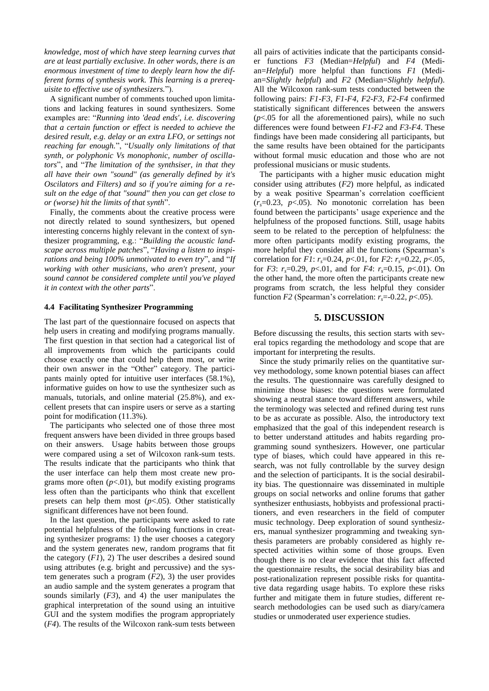*knowledge, most of which have steep learning curves that are at least partially exclusive. In other words, there is an enormous investment of time to deeply learn how the different forms of synthesis work. This learning is a prerequisite to effective use of synthesizers.*").

A significant number of comments touched upon limitations and lacking features in sound synthesizers. Some examples are: "*Running into 'dead ends', i.e. discovering that a certain function or effect is needed to achieve the desired result, e.g. delay or an extra LFO, or settings not reaching far enough.*", "*Usually only limitations of that synth, or polyphonic Vs monophonic, number of oscillators*", and "*The limitation of the synthsiser, in that they all have their own "sound" (as generally defined by it's Oscilators and Filters) and so if you're aiming for a result on the edge of that "sound" then you can get close to or (worse) hit the limits of that synth*".

Finally, the comments about the creative process were not directly related to sound synthesizers, but opened interesting concerns highly relevant in the context of synthesizer programming, e.g.: "*Building the acoustic landscape across multiple patches*", "*Having a listen to inspirations and being 100% unmotivated to even try*", and "*If working with other musicians, who aren't present, your sound cannot be considered complete until you've played it in context with the other parts*".

### **4.4 Facilitating Synthesizer Programming**

The last part of the questionnaire focused on aspects that help users in creating and modifying programs manually. The first question in that section had a categorical list of all improvements from which the participants could choose exactly one that could help them most, or write their own answer in the "Other" category. The participants mainly opted for intuitive user interfaces (58.1%), informative guides on how to use the synthesizer such as manuals, tutorials, and online material (25.8%), and excellent presets that can inspire users or serve as a starting point for modification (11.3%).

The participants who selected one of those three most frequent answers have been divided in three groups based on their answers. Usage habits between those groups were compared using a set of Wilcoxon rank-sum tests. The results indicate that the participants who think that the user interface can help them most create new programs more often  $(p<.01)$ , but modify existing programs less often than the participants who think that excellent presets can help them most (*p*<.05). Other statistically significant differences have not been found.

In the last question, the participants were asked to rate potential helpfulness of the following functions in creating synthesizer programs: 1) the user chooses a category and the system generates new, random programs that fit the category  $(F1)$ , 2) The user describes a desired sound using attributes (e.g. bright and percussive) and the system generates such a program (*F2*), 3) the user provides an audio sample and the system generates a program that sounds similarly (*F3*), and 4) the user manipulates the graphical interpretation of the sound using an intuitive GUI and the system modifies the program appropriately (*F4*). The results of the Wilcoxon rank-sum tests between all pairs of activities indicate that the participants consider functions *F3* (Median=*Helpful*) and *F4* (Median=*Helpful*) more helpful than functions *F1* (Median=*Slightly helpful*) and *F2* (Median=*Slightly helpful*). All the Wilcoxon rank-sum tests conducted between the following pairs: *F1*-*F3*, *F1*-*F4*, *F2*-*F3*, *F2*-*F4* confirmed statistically significant differences between the answers  $(p<.05$  for all the aforementioned pairs), while no such differences were found between *F1*-*F2* and *F3*-*F4*. These findings have been made considering all participants, but the same results have been obtained for the participants without formal music education and those who are not professional musicians or music students.

The participants with a higher music education might consider using attributes (*F2*) more helpful, as indicated by a weak positive Spearman's correlation coefficient  $(r_s=0.23, p<.05)$ . No monotonic correlation has been found between the participants' usage experience and the helpfulness of the proposed functions. Still, usage habits seem to be related to the perception of helpfulness: the more often participants modify existing programs, the more helpful they consider all the functions (Spearman's correlation for *F1*: *rs*=0.24, *p*<.01, for *F2*: *rs*=0.22, *p*<.05, for *F3*:  $r_s = 0.29$ ,  $p < 0.01$ , and for *F4*:  $r_s = 0.15$ ,  $p < 0.01$ ). On the other hand, the more often the participants create new programs from scratch, the less helpful they consider function *F2* (Spearman's correlation:  $r_s$ =-0.22, *p*<.05).

## **5. DISCUSSION**

Before discussing the results, this section starts with several topics regarding the methodology and scope that are important for interpreting the results.

Since the study primarily relies on the quantitative survey methodology, some known potential biases can affect the results. The questionnaire was carefully designed to minimize those biases: the questions were formulated showing a neutral stance toward different answers, while the terminology was selected and refined during test runs to be as accurate as possible. Also, the introductory text emphasized that the goal of this independent research is to better understand attitudes and habits regarding programming sound synthesizers. However, one particular type of biases, which could have appeared in this research, was not fully controllable by the survey design and the selection of participants. It is the social desirability bias. The questionnaire was disseminated in multiple groups on social networks and online forums that gather synthesizer enthusiasts, hobbyists and professional practitioners, and even researchers in the field of computer music technology. Deep exploration of sound synthesizers, manual synthesizer programming and tweaking synthesis parameters are probably considered as highly respected activities within some of those groups. Even though there is no clear evidence that this fact affected the questionnaire results, the social desirability bias and post-rationalization represent possible risks for quantitative data regarding usage habits. To explore these risks further and mitigate them in future studies, different research methodologies can be used such as diary/camera studies or unmoderated user experience studies.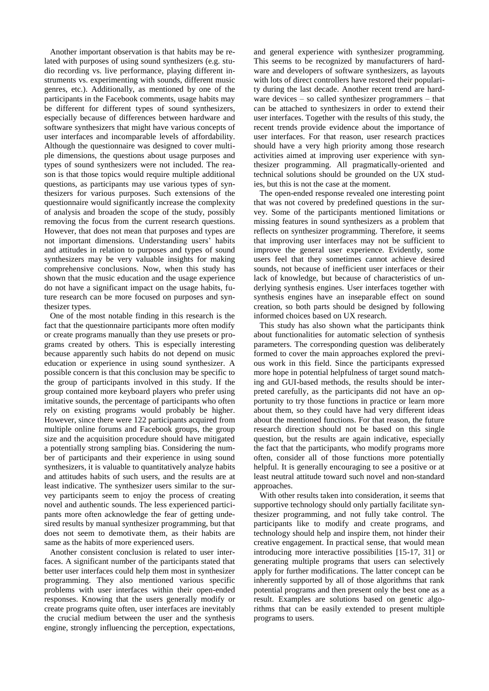Another important observation is that habits may be related with purposes of using sound synthesizers (e.g. studio recording vs. live performance, playing different instruments vs. experimenting with sounds, different music genres, etc.). Additionally, as mentioned by one of the participants in the Facebook comments, usage habits may be different for different types of sound synthesizers, especially because of differences between hardware and software synthesizers that might have various concepts of user interfaces and incomparable levels of affordability. Although the questionnaire was designed to cover multiple dimensions, the questions about usage purposes and types of sound synthesizers were not included. The reason is that those topics would require multiple additional questions, as participants may use various types of synthesizers for various purposes. Such extensions of the questionnaire would significantly increase the complexity of analysis and broaden the scope of the study, possibly removing the focus from the current research questions. However, that does not mean that purposes and types are not important dimensions. Understanding users' habits and attitudes in relation to purposes and types of sound synthesizers may be very valuable insights for making comprehensive conclusions. Now, when this study has shown that the music education and the usage experience do not have a significant impact on the usage habits, future research can be more focused on purposes and synthesizer types.

One of the most notable finding in this research is the fact that the questionnaire participants more often modify or create programs manually than they use presets or programs created by others. This is especially interesting because apparently such habits do not depend on music education or experience in using sound synthesizer. A possible concern is that this conclusion may be specific to the group of participants involved in this study. If the group contained more keyboard players who prefer using imitative sounds, the percentage of participants who often rely on existing programs would probably be higher. However, since there were 122 participants acquired from multiple online forums and Facebook groups, the group size and the acquisition procedure should have mitigated a potentially strong sampling bias. Considering the number of participants and their experience in using sound synthesizers, it is valuable to quantitatively analyze habits and attitudes habits of such users, and the results are at least indicative. The synthesizer users similar to the survey participants seem to enjoy the process of creating novel and authentic sounds. The less experienced participants more often acknowledge the fear of getting undesired results by manual synthesizer programming, but that does not seem to demotivate them, as their habits are same as the habits of more experienced users.

Another consistent conclusion is related to user interfaces. A significant number of the participants stated that better user interfaces could help them most in synthesizer programming. They also mentioned various specific problems with user interfaces within their open-ended responses. Knowing that the users generally modify or create programs quite often, user interfaces are inevitably the crucial medium between the user and the synthesis engine, strongly influencing the perception, expectations,

and general experience with synthesizer programming. This seems to be recognized by manufacturers of hardware and developers of software synthesizers, as layouts with lots of direct controllers have restored their popularity during the last decade. Another recent trend are hardware devices – so called synthesizer programmers – that can be attached to synthesizers in order to extend their user interfaces. Together with the results of this study, the recent trends provide evidence about the importance of user interfaces. For that reason, user research practices should have a very high priority among those research activities aimed at improving user experience with synthesizer programming. All pragmatically-oriented and technical solutions should be grounded on the UX studies, but this is not the case at the moment.

The open-ended response revealed one interesting point that was not covered by predefined questions in the survey. Some of the participants mentioned limitations or missing features in sound synthesizers as a problem that reflects on synthesizer programming. Therefore, it seems that improving user interfaces may not be sufficient to improve the general user experience. Evidently, some users feel that they sometimes cannot achieve desired sounds, not because of inefficient user interfaces or their lack of knowledge, but because of characteristics of underlying synthesis engines. User interfaces together with synthesis engines have an inseparable effect on sound creation, so both parts should be designed by following informed choices based on UX research.

This study has also shown what the participants think about functionalities for automatic selection of synthesis parameters. The corresponding question was deliberately formed to cover the main approaches explored the previous work in this field. Since the participants expressed more hope in potential helpfulness of target sound matching and GUI-based methods, the results should be interpreted carefully, as the participants did not have an opportunity to try those functions in practice or learn more about them, so they could have had very different ideas about the mentioned functions. For that reason, the future research direction should not be based on this single question, but the results are again indicative, especially the fact that the participants, who modify programs more often, consider all of those functions more potentially helpful. It is generally encouraging to see a positive or at least neutral attitude toward such novel and non-standard approaches.

With other results taken into consideration, it seems that supportive technology should only partially facilitate synthesizer programming, and not fully take control. The participants like to modify and create programs, and technology should help and inspire them, not hinder their creative engagement. In practical sense, that would mean introducing more interactive possibilities [15-17, 31] or generating multiple programs that users can selectively apply for further modifications. The latter concept can be inherently supported by all of those algorithms that rank potential programs and then present only the best one as a result. Examples are solutions based on genetic algorithms that can be easily extended to present multiple programs to users.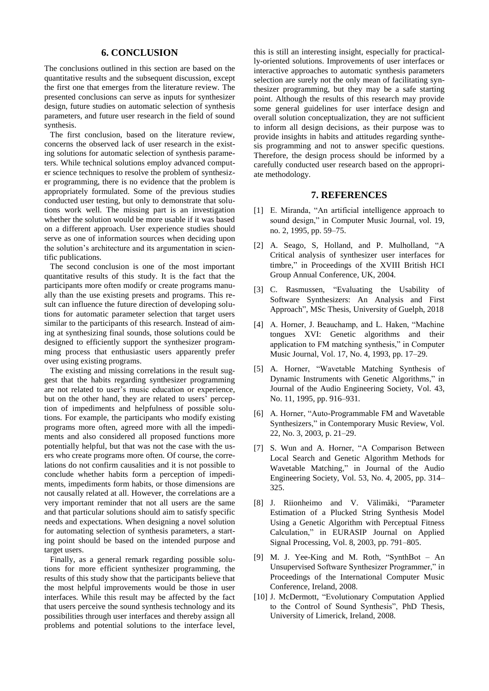# **6. CONCLUSION**

The conclusions outlined in this section are based on the quantitative results and the subsequent discussion, except the first one that emerges from the literature review. The presented conclusions can serve as inputs for synthesizer design, future studies on automatic selection of synthesis parameters, and future user research in the field of sound synthesis.

The first conclusion, based on the literature review, concerns the observed lack of user research in the existing solutions for automatic selection of synthesis parameters. While technical solutions employ advanced computer science techniques to resolve the problem of synthesizer programming, there is no evidence that the problem is appropriately formulated. Some of the previous studies conducted user testing, but only to demonstrate that solutions work well. The missing part is an investigation whether the solution would be more usable if it was based on a different approach. User experience studies should serve as one of information sources when deciding upon the solution's architecture and its argumentation in scientific publications.

The second conclusion is one of the most important quantitative results of this study. It is the fact that the participants more often modify or create programs manually than the use existing presets and programs. This result can influence the future direction of developing solutions for automatic parameter selection that target users similar to the participants of this research. Instead of aiming at synthesizing final sounds, those solutions could be designed to efficiently support the synthesizer programming process that enthusiastic users apparently prefer over using existing programs.

The existing and missing correlations in the result suggest that the habits regarding synthesizer programming are not related to user's music education or experience, but on the other hand, they are related to users' perception of impediments and helpfulness of possible solutions. For example, the participants who modify existing programs more often, agreed more with all the impediments and also considered all proposed functions more potentially helpful, but that was not the case with the users who create programs more often. Of course, the correlations do not confirm causalities and it is not possible to conclude whether habits form a perception of impediments, impediments form habits, or those dimensions are not causally related at all. However, the correlations are a very important reminder that not all users are the same and that particular solutions should aim to satisfy specific needs and expectations. When designing a novel solution for automating selection of synthesis parameters, a starting point should be based on the intended purpose and target users.

Finally, as a general remark regarding possible solutions for more efficient synthesizer programming, the results of this study show that the participants believe that the most helpful improvements would be those in user interfaces. While this result may be affected by the fact that users perceive the sound synthesis technology and its possibilities through user interfaces and thereby assign all problems and potential solutions to the interface level,

this is still an interesting insight, especially for practically-oriented solutions. Improvements of user interfaces or interactive approaches to automatic synthesis parameters selection are surely not the only mean of facilitating synthesizer programming, but they may be a safe starting point. Although the results of this research may provide some general guidelines for user interface design and overall solution conceptualization, they are not sufficient to inform all design decisions, as their purpose was to provide insights in habits and attitudes regarding synthesis programming and not to answer specific questions. Therefore, the design process should be informed by a carefully conducted user research based on the appropriate methodology.

## **7. REFERENCES**

- [1] E. Miranda, "An artificial intelligence approach to sound design," in Computer Music Journal, vol. 19, no. 2, 1995, pp. 59–75.
- [2] A. Seago, S, Holland, and P. Mulholland, "A Critical analysis of synthesizer user interfaces for timbre," in Proceedings of the XVIII British HCI Group Annual Conference, UK, 2004.
- [3] C. Rasmussen, "Evaluating the Usability of Software Synthesizers: An Analysis and First Approach", MSc Thesis, University of Guelph, 2018
- [4] A. Horner, J. Beauchamp, and L. Haken, "Machine tongues XVI: Genetic algorithms and their application to FM matching synthesis," in Computer Music Journal, Vol. 17, No. 4, 1993, pp. 17–29.
- [5] A. Horner, "Wavetable Matching Synthesis of Dynamic Instruments with Genetic Algorithms," in Journal of the Audio Engineering Society, Vol. 43, No. 11, 1995, pp. 916–931.
- [6] A. Horner, "Auto-Programmable FM and Wavetable Synthesizers," in Contemporary Music Review, Vol. 22, No. 3, 2003, p. 21–29.
- [7] S. Wun and A. Horner, "A Comparison Between Local Search and Genetic Algorithm Methods for Wavetable Matching," in Journal of the Audio Engineering Society, Vol. 53, No. 4, 2005, pp. 314– 325.
- [8] J. Riionheimo and V. Välimäki, "Parameter Estimation of a Plucked String Synthesis Model Using a Genetic Algorithm with Perceptual Fitness Calculation," in EURASIP Journal on Applied Signal Processing, Vol. 8, 2003, pp. 791–805.
- [9] M. J. Yee-King and M. Roth, "SynthBot An Unsupervised Software Synthesizer Programmer," in Proceedings of the International Computer Music Conference, Ireland, 2008.
- [10] J. McDermott, "Evolutionary Computation Applied to the Control of Sound Synthesis", PhD Thesis, University of Limerick, Ireland, 2008.